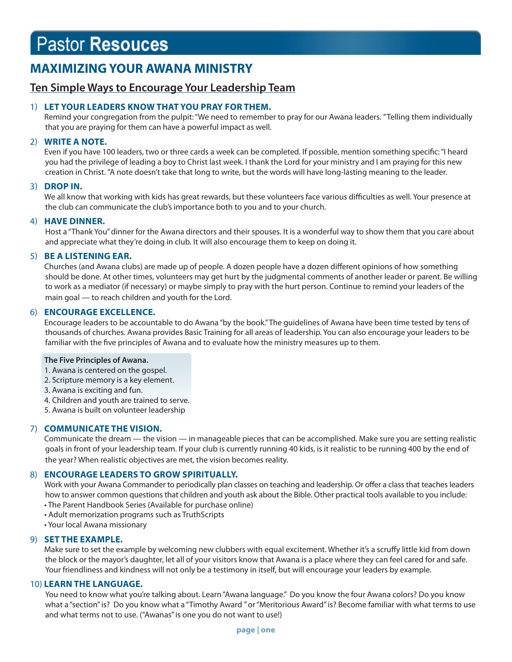# **Pastor Resouces**

# **MAXIMIZING YOUR AWANA MINISTRY**

# **Ten Simple Ways to Encourage Your Leadership Team**

# 1) **LET YOUR LEADERS KNOW THAT YOU PRAY FOR THEM.**

Remind your congregation from the pulpit: "We need to remember to pray for our Awana leaders. " Telling them individually that you are praying for them can have a powerful impact as well.

# 2) **WRITE A NOTE.**

Even if you have 100 leaders, two or three cards a week can be completed. If possible, mention something specific: "I heard you had the privilege of leading a boy to Christ last week. I thank the Lord for your ministry and I am praying for this new creation in Christ. "A note doesn't take that long to write, but the words will have long-lasting meaning to the leader.

# 3) **DROP IN.**

We all know that working with kids has great rewards, but these volunteers face various difficulties as well. Your presence at the club can communicate the club's importance both to you and to your church.

# 4) **HAVE DINNER.**

Host a "Thank You" dinner for the Awana directors and their spouses. It is a wonderful way to show them that you care about and appreciate what they're doing in club. It will also encourage them to keep on doing it.

# 5) **BE A LISTENING EAR.**

Churches (and Awana clubs) are made up of people. A dozen people have a dozen different opinions of how something should be done. At other times, volunteers may get hurt by the judgmental comments of another leader or parent. Be willing to work as a mediator (if necessary) or maybe simply to pray with the hurt person. Continue to remind your leaders of the main goal — to reach children and youth for the Lord.

# 6) **ENCOURAGE EXCELLENCE.**

Encourage leaders to be accountable to do Awana "by the book." The guidelines of Awana have been time tested by tens of thousands of churches. Awana provides Basic Training for all areas of leadership. You can also encourage your leaders to be familiar with the five principles of Awana and to evaluate how the ministry measures up to them.

#### **The Five Principles of Awana.**

1. Awana is centered on the gospel.

- 2. Scripture memory is a key element.
- 3. Awana is exciting and fun.
- 4. Children and youth are trained to serve.
- 5. Awana is built on volunteer leadership

# 7) **COMMUNICATE THE VISION.**

Communicate the dream — the vision — in manageable pieces that can be accomplished. Make sure you are setting realistic goals in front of your leadership team. If your club is currently running 40 kids, is it realistic to be running 400 by the end of the year? When realistic objectives are met, the vision becomes reality.

# 8) **ENCOURAGE LEADERS TO GROW SPIRITUALLY.**

Work with your Awana Commander to periodically plan classes on teaching and leadership. Or offer a class that teaches leaders how to answer common questions that children and youth ask about the Bible. Other practical tools available to you include:

- The Parent Handbook Series (Available for purchase online)
- Adult memorization programs such as TruthScripts
- Your local Awana missionary

# 9) **SET THE EXAMPLE.**

Make sure to set the example by welcoming new clubbers with equal excitement. Whether it's a scruffy little kid from down the block or the mayor's daughter, let all of your visitors know that Awana is a place where they can feel cared for and safe. Your friendliness and kindness will not only be a testimony in itself, but will encourage your leaders by example.

# 10) **LEARN THE LANGUAGE.**

 You need to know what you're talking about. Learn "Awana language." Do you know the four Awana colors? Do you know what a "section" is? Do you know what a "Timothy Award " or "Meritorious Award" is? Become familiar with what terms to use and what terms not to use. ("Awanas" is one you do not want to use!)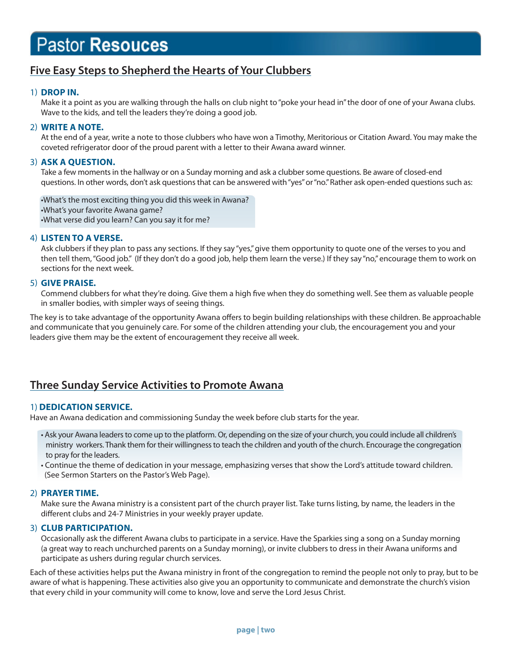# **Pastor Resouces**

# **Five Easy Steps to Shepherd the Hearts of Your Clubbers**

# 1) **DROP IN.**

Make it a point as you are walking through the halls on club night to "poke your head in" the door of one of your Awana clubs. Wave to the kids, and tell the leaders they're doing a good job.

#### 2) **WRITE A NOTE.**

At the end of a year, write a note to those clubbers who have won a Timothy, Meritorious or Citation Award. You may make the coveted refrigerator door of the proud parent with a letter to their Awana award winner.

#### 3) **ASK A QUESTION.**

Take a few moments in the hallway or on a Sunday morning and ask a clubber some questions. Be aware of closed-end questions. In other words, don't ask questions that can be answered with "yes" or "no." Rather ask open-ended questions such as:

 •What's the most exciting thing you did this week in Awana? •What's your favorite Awana game? •What verse did you learn? Can you say it for me?

#### 4) **LISTEN TO A VERSE.**

Ask clubbers if they plan to pass any sections. If they say "yes," give them opportunity to quote one of the verses to you and then tell them, "Good job." (If they don't do a good job, help them learn the verse.) If they say "no," encourage them to work on sections for the next week.

#### 5) **GIVE PRAISE.**

Commend clubbers for what they're doing. Give them a high five when they do something well. See them as valuable people in smaller bodies, with simpler ways of seeing things.

The key is to take advantage of the opportunity Awana offers to begin building relationships with these children. Be approachable and communicate that you genuinely care. For some of the children attending your club, the encouragement you and your leaders give them may be the extent of encouragement they receive all week.

# **Three Sunday Service Activities to Promote Awana**

# 1) **DEDICATION SERVICE.**

Have an Awana dedication and commissioning Sunday the week before club starts for the year.

• Ask your Awana leaders to come up to the platform. Or, depending on the size of your church, you could include all children's ministry workers. Thank them for their willingness to teach the children and youth of the church. Encourage the congregation to pray for the leaders.

 • Continue the theme of dedication in your message, emphasizing verses that show the Lord's attitude toward children. (See Sermon Starters on the Pastor's Web Page).

#### 2) **PRAYER TIME.**

Make sure the Awana ministry is a consistent part of the church prayer list. Take turns listing, by name, the leaders in the different clubs and 24-7 Ministries in your weekly prayer update.

#### 3) **CLUB PARTICIPATION.**

Occasionally ask the different Awana clubs to participate in a service. Have the Sparkies sing a song on a Sunday morning (a great way to reach unchurched parents on a Sunday morning), or invite clubbers to dress in their Awana uniforms and participate as ushers during regular church services.

Each of these activities helps put the Awana ministry in front of the congregation to remind the people not only to pray, but to be aware of what is happening. These activities also give you an opportunity to communicate and demonstrate the church's vision that every child in your community will come to know, love and serve the Lord Jesus Christ.